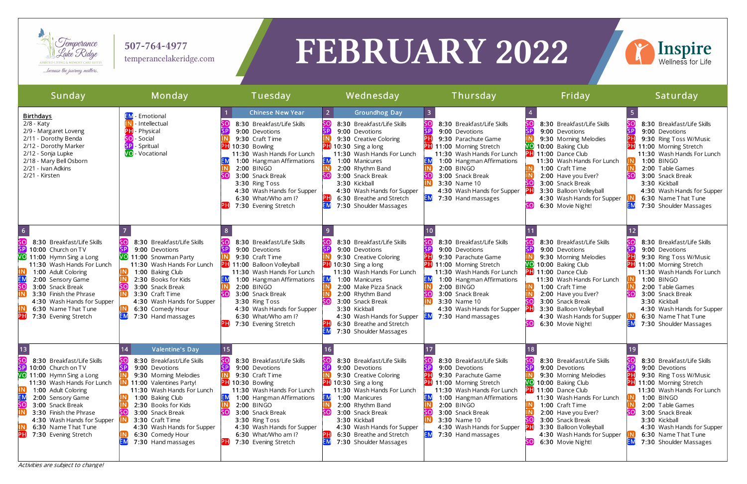

507-764-4977 temperancelakeridge.com

# FEBRUARY 2022

Activities are subject to change!



| Sunday                                                                                                                                                                                                                                                                                                                 | Monday                                                                                                                                                                                                                                                                                                             | Tuesday                                                                                                                                                                                                                                                                                                                              | Wednesday                                                                                                                                                                                                                                                                                                                                                                          | Thursday                                                                                                                                                                                                                                                                                          | Friday                                                                                                                                                                                                                                                                                                              | Saturday                                                                                                                                                                                                                                                                                            |
|------------------------------------------------------------------------------------------------------------------------------------------------------------------------------------------------------------------------------------------------------------------------------------------------------------------------|--------------------------------------------------------------------------------------------------------------------------------------------------------------------------------------------------------------------------------------------------------------------------------------------------------------------|--------------------------------------------------------------------------------------------------------------------------------------------------------------------------------------------------------------------------------------------------------------------------------------------------------------------------------------|------------------------------------------------------------------------------------------------------------------------------------------------------------------------------------------------------------------------------------------------------------------------------------------------------------------------------------------------------------------------------------|---------------------------------------------------------------------------------------------------------------------------------------------------------------------------------------------------------------------------------------------------------------------------------------------------|---------------------------------------------------------------------------------------------------------------------------------------------------------------------------------------------------------------------------------------------------------------------------------------------------------------------|-----------------------------------------------------------------------------------------------------------------------------------------------------------------------------------------------------------------------------------------------------------------------------------------------------|
| <b>Birthdays</b><br>2/8 - Katy<br>2/9 - Margaret Loveng<br>2/11 - Dorothy Benda<br>2/12 - Dorothy Marker<br>2/12 - Sonja Lupke<br>2/18 - Mary Bell Osborn<br>2/21 - Ivan Adkins<br>2/21 - Kirsten                                                                                                                      | <b>EM</b> - Emotional<br>Intellectual<br>ÞН<br>- Physical<br>- Social<br>sol<br>- Spritual<br><b>VO</b> - Vocational                                                                                                                                                                                               | <b>Chinese New Year</b><br>8:30 Breakfast/Life Skills<br><b>SP</b><br>9:00 Devotions<br>9:30 Craft Time<br><b>PH</b> 10:30 Bowling<br>11:30 Wash Hands For Lunch<br>1:00 Hangman Affirmations<br>2:00 BINGO<br>SO<br>3:00 Snack Break<br>3:30 Ring Toss<br>4:30 Wash Hands for Supper<br>6:30 What/Who am I?<br>7:30 Evening Stretch | $\vert$ 2<br><b>Groundhog Day</b><br>SO<br>8:30 Breakfast/Life Skills<br>SP<br>9:00 Devotions<br>9:30 Creative Coloring<br><b>PH</b> 10:30 Sing a long<br>11:30 Wash Hands For Lunch<br><b>EM</b><br>1:00 Manicures<br>2:00 Rhythm Band<br>SO<br>3:00 Snack Break<br>3:30 Kickball<br>4:30 Wash Hands for Supper<br>PH<br>6:30 Breathe and Stretch<br>EM<br>7:30 Shoulder Massages | 8:30 Breakfast/Life Skills<br>9:00 Devotions<br>9:30 Parachute Game<br><b>PH</b> 11:00 Morning Stretch<br>11:30 Wash Hands For Lunch<br>1:00 Hangman Affirmations<br>2:00 BINGO<br>3:00 Snack Break<br>3:30 Name 10<br>4:30 Wash Hands for Supper<br><b>EM</b><br>7:30 Hand massages              | 8:30 Breakfast/Life Skills<br>9:00 Devotions<br>9:30 Morning Melodies<br>VO 10:00 Baking Club<br><b>PH</b> 11:00 Dance Club<br>11:30 Wash Hands For Lunch<br>1:00 Craft Time<br>2:00 Have you Ever?<br>3:00 Snack Break<br>3:30 Balloon Volleyball<br>4:30 Wash Hands for Supper<br>SOJ<br>6:30 Movie Night!        | 8:30 Breakfast/Life Skills<br>9:00 Devotions<br>9:30 Ring Toss W/Music<br><b>PH</b> 11:00 Morning Stretch<br>11:30 Wash Hands For Lunch<br>1:00 BINGO<br>2:00 Table Games<br>3:00 Snack Break<br>3:30 Kickball<br>4:30 Wash Hands for Supper<br>6:30 Name That Tune<br>7:30 Shoulder Massages       |
| $\overline{6}$<br>8:30 Breakfast/Life Skills<br>SP)<br>10:00 Church on TV<br>VO 11:00 Hymn Sing a Long<br>11:30 Wash Hands For Lunch<br>1:00 Adult Coloring<br>2:00 Sensory Game<br>3:00 Snack Break<br>3:30 Finish the Phrase<br>4:30 Wash Hands for Supper<br>6:30 Name That Tune<br>7:30 Evening Stretch            | 8:30 Breakfast/Life Skills<br>9:00 Devotions<br>VO 11:00 Snowman Party<br>11:30 Wash Hands For Lunch<br>1:00 Baking Club<br>2:30 Books for Kids<br>3:00 Snack Break<br>3:30 Craft Time<br>4:30 Wash Hands for Supper<br>6:30 Comedy Hour<br>7:30 Hand massages                                                     | 8:30 Breakfast/Life Skills<br>9:00 Devotions<br>9:30 Craft Time<br><b>PH</b> 11:00 Balloon Volleyball<br>11:30 Wash Hands For Lunch<br>1:00 Hangman Affirmations<br>2:00 BINGO<br>3:00 Snack Break<br>3:30 Ring Toss<br>4:30 Wash Hands for Supper<br>6:30 What/Who am I?<br>7:30 Evening Stretch                                    | SO<br>8:30 Breakfast/Life Skills<br><b>SP</b><br>9:00 Devotions<br>9:30 Creative Coloring<br>$PH$ 10:30 Sing a long<br>11:30 Wash Hands For Lunch<br><b>EM</b><br>1:00 Manicures<br>2:00 Make Pizza Snack<br>2:00 Rhythm Band<br>3:00 Snack Break<br>so<br>3:30 Kickball<br>4:30 Wash Hands for Supper<br>PH<br>6:30 Breathe and Stretch<br>ΈM<br>7:30 Shoulder Massages           | 8:30 Breakfast/Life Skills<br>9:00 Devotions<br>9:30 Parachute Game<br><b>PH</b> 11:00 Morning Stretch<br>11:30 Wash Hands For Lunch<br>1:00 Hangman Affirmations<br>2:00 BINGO<br>3:00 Snack Break<br>3:30 Name 10<br>4:30 Wash Hands for Supper<br><b>EM</b><br>7:30 Hand massages              | 8:30 Breakfast/Life Skills<br>9:00 Devotions<br>9:30 Morning Melodies<br>VO 10:00 Baking Club<br><b>PH</b> 11:00 Dance Club<br>11:30 Wash Hands For Lunch<br>1:00 Craft Time<br>2:00 Have you Ever?<br>3:00 Snack Break<br>3:30 Balloon Volleyball<br>4:30 Wash Hands for Supper<br>SOI<br>6:30 Movie Night!        | 8:30 Breakfast/Life Skills<br>SP<br>9:00 Devotions<br>9:30 Ring Toss W/Music<br><b>PH</b> 11:00 Morning Stretch<br>11:30 Wash Hands For Lunch<br>1:00 BINGO<br>2:00 Table Games<br>3:00 Snack Break<br>3:30 Kickball<br>4:30 Wash Hands for Supper<br>6:30 Name That Tune<br>7:30 Shoulder Massages |
| $13$<br>8:30 Breakfast/Life Skills<br>$\overline{\mathsf{SP}}$<br>10:00 Church on TV<br>VO 11:00 Hymn Sing a Long<br>11:30 Wash Hands For Lunch<br>1:00 Adult Coloring<br>2:00 Sensory Game<br>3:00 Snack Break<br>3:30 Finish the Phrase<br>4:30 Wash Hands for Supper<br>6:30 Name That Tune<br>7:30 Evening Stretch | <b>Valentine's Day</b><br>8:30 Breakfast/Life Skills<br>9:00 Devotions<br>9:30 Morning Melodies<br>11:00 Valentines Party!<br>11:30 Wash Hands For Lunch<br>1:00 Baking Club<br>2:30 Books for Kids<br>3:00 Snack Break<br>3:30 Craft Time<br>4:30 Wash Hands for Supper<br>6:30 Comedy Hour<br>7:30 Hand massages | sol<br>8:30 Breakfast/Life Skills<br>ISP<br>9:00 Devotions<br>9:30 Craft Time<br><b>PH</b> 10:30 Bowling<br>11:30 Wash Hands For Lunch<br><b>EM</b><br>1:00 Hangman Affirmations<br>2:00 BINGO<br>3:00 Snack Break<br>3:30 Ring Toss<br>4:30 Wash Hands for Supper<br>6:30 What/Who am I?<br>PН<br>7:30 Evening Stretch              | ະດ<br>8:30 Breakfast/Life Skills<br>SP<br>9:00 Devotions<br>9:30 Creative Coloring<br>$\boxed{P}$ 10:30 Sing a long<br>11:30 Wash Hands For Lunch<br><b>EM</b><br>1:00 Manicures<br>2:00 Rhythm Band<br>SO<br>3:00 Snack Break<br>3:30 Kickball<br>4:30 Wash Hands for Supper<br>РH<br>6:30 Breathe and Stretch<br>EM<br>7:30 Shoulder Massages                                    | sol<br>8:30 Breakfast/Life Skills<br>9:00 Devotions<br>9:30 Parachute Game<br><b>PH</b> 11:00 Morning Stretch<br>11:30 Wash Hands For Lunch<br>ЕM<br>1:00 Hangman Affirmations<br>2:00 BINGO<br>3:00 Snack Break<br>3:30 Name 10<br>4:30 Wash Hands for Supper<br>$\boxed{EM}$ 7:30 Hand massages | sol<br>8:30 Breakfast/Life Skills<br>9:00 Devotions<br>9:30 Morning Melodies<br>VO 10:00 Baking Club<br><b>PH</b> 11:00 Dance Club<br>11:30 Wash Hands For Lunch<br>1:00 Craft Time<br>2:00 Have you Ever?<br>3:00 Snack Break<br>3:30 Balloon Volleyball<br>4:30 Wash Hands for Supper<br>[SO<br>6:30 Movie Night! | 8:30 Breakfast/Life Skills<br>SP<br>9:00 Devotions<br>9:30 Ring Toss W/Music<br><b>PH</b> 11:00 Morning Stretch<br>11:30 Wash Hands For Lunch<br>1:00 BINGO<br>2:00 Table Games<br>3:00 Snack Break<br>3:30 Kickball<br>4:30 Wash Hands for Supper<br>6:30 Name That Tune<br>7:30 Shoulder Massages |